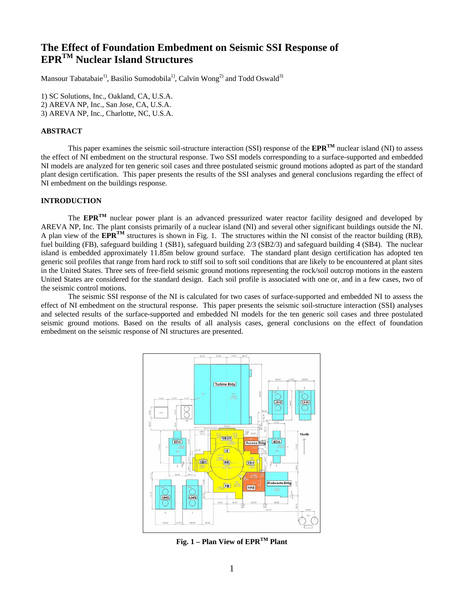# **The Effect of Foundation Embedment on Seismic SSI Response of EPRTM Nuclear Island Structures**

Mansour Tabatabaie<sup>1)</sup>, Basilio Sumodobila<sup>1)</sup>, Calvin Wong<sup>2)</sup> and Todd Oswald<sup>3)</sup>

1) SC Solutions, Inc., Oakland, CA, U.S.A. 2) AREVA NP, Inc., San Jose, CA, U.S.A. 3) AREVA NP, Inc., Charlotte, NC, U.S.A.

# **ABSTRACT**

This paper examines the seismic soil-structure interaction (SSI) response of the **EPRTM** nuclear island (NI) to assess the effect of NI embedment on the structural response. Two SSI models corresponding to a surface-supported and embedded NI models are analyzed for ten generic soil cases and three postulated seismic ground motions adopted as part of the standard plant design certification. This paper presents the results of the SSI analyses and general conclusions regarding the effect of NI embedment on the buildings response.

# **INTRODUCTION**

 The **EPRTM** nuclear power plant is an advanced pressurized water reactor facility designed and developed by AREVA NP, Inc. The plant consists primarily of a nuclear island (NI) and several other significant buildings outside the NI. A plan view of the **EPR<sup>TM</sup>** structures is shown in Fig. 1. The structures within the NI consist of the reactor building (RB), fuel building (FB), safeguard building 1 (SB1), safeguard building 2/3 (SB2/3) and safeguard building 4 (SB4). The nuclear island is embedded approximately 11.85m below ground surface. The standard plant design certification has adopted ten generic soil profiles that range from hard rock to stiff soil to soft soil conditions that are likely to be encountered at plant sites in the United States. Three sets of free-field seismic ground motions representing the rock/soil outcrop motions in the eastern United States are considered for the standard design. Each soil profile is associated with one or, and in a few cases, two of the seismic control motions.

The seismic SSI response of the NI is calculated for two cases of surface-supported and embedded NI to assess the effect of NI embedment on the structural response. This paper presents the seismic soil-structure interaction (SSI) analyses and selected results of the surface-supported and embedded NI models for the ten generic soil cases and three postulated seismic ground motions. Based on the results of all analysis cases, general conclusions on the effect of foundation embedment on the seismic response of NI structures are presented.



**Fig. 1 – Plan View of EPRTM Plant**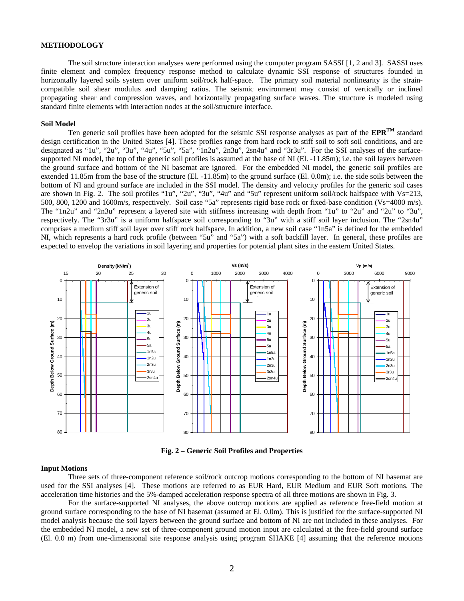#### **METHODOLOGY**

The soil structure interaction analyses were performed using the computer program SASSI [1, 2 and 3]. SASSI uses finite element and complex frequency response method to calculate dynamic SSI response of structures founded in horizontally layered soils system over uniform soil/rock half-space. The primary soil material nonlinearity is the straincompatible soil shear modulus and damping ratios. The seismic environment may consist of vertically or inclined propagating shear and compression waves, and horizontally propagating surface waves. The structure is modeled using standard finite elements with interaction nodes at the soil/structure interface.

#### **Soil Model**

 Ten generic soil profiles have been adopted for the seismic SSI response analyses as part of the **EPRTM** standard design certification in the United States [4]. These profiles range from hard rock to stiff soil to soft soil conditions, and are designated as "1u", "2u", "3u", "4u", "5u", "5a", "1n2u", 2n3u", 2sn4u" and "3r3u". For the SSI analyses of the surfacesupported NI model, the top of the generic soil profiles is assumed at the base of NI (El. -11.85m); i.e. the soil layers between the ground surface and bottom of the NI basemat are ignored. For the embedded NI model, the generic soil profiles are extended 11.85m from the base of the structure (El. -11.85m) to the ground surface (El. 0.0m); i.e. the side soils between the bottom of NI and ground surface are included in the SSI model. The density and velocity profiles for the generic soil cases are shown in Fig. 2. The soil profiles "1u", "2u", "3u", "4u" and "5u" represent uniform soil/rock halfspace with Vs=213, 500, 800, 1200 and 1600m/s, respectively. Soil case "5a" represents rigid base rock or fixed-base condition (Vs=4000 m/s). The "1n2u" and "2n3u" represent a layered site with stiffness increasing with depth from "1u" to "2u" and "2u" to "3u", respectively. The "3r3u" is a uniform halfspace soil corresponding to "3u" with a stiff soil layer inclusion. The "2sn4u" comprises a medium stiff soil layer over stiff rock halfspace. In addition, a new soil case "1n5a" is defined for the embedded NI, which represents a hard rock profile (between "5u" and "5a") with a soft backfill layer. In general, these profiles are expected to envelop the variations in soil layering and properties for potential plant sites in the eastern United States.



**Fig. 2 – Generic Soil Profiles and Properties** 

#### **Input Motions**

 Three sets of three-component reference soil/rock outcrop motions corresponding to the bottom of NI basemat are used for the SSI analyses [4]. These motions are referred to as EUR Hard, EUR Medium and EUR Soft motions. The acceleration time histories and the 5%-damped acceleration response spectra of all three motions are shown in Fig. 3.

For the surface-supported NI analyses, the above outcrop motions are applied as reference free-field motion at ground surface corresponding to the base of NI basemat (assumed at El. 0.0m). This is justified for the surface-supported NI model analysis because the soil layers between the ground surface and bottom of NI are not included in these analyses. For the embedded NI model, a new set of three-component ground motion input are calculated at the free-field ground surface (El. 0.0 m) from one-dimensional site response analysis using program SHAKE [4] assuming that the reference motions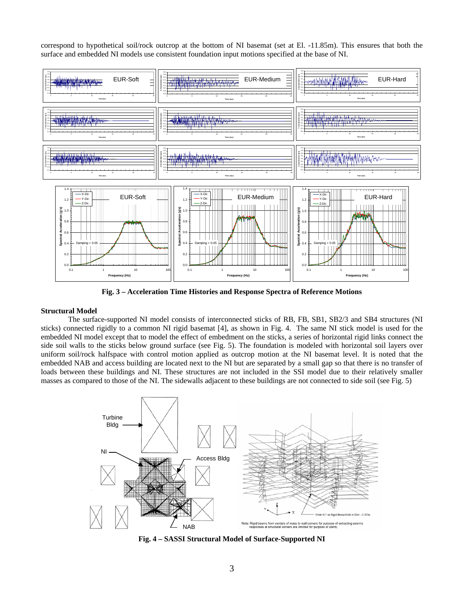correspond to hypothetical soil/rock outcrop at the bottom of NI basemat (set at El. -11.85m). This ensures that both the surface and embedded NI models use consistent foundation input motions specified at the base of NI.



**Fig. 3 – Acceleration Time Histories and Response Spectra of Reference Motions** 

# **Structural Model**

 The surface-supported NI model consists of interconnected sticks of RB, FB, SB1, SB2/3 and SB4 structures (NI sticks) connected rigidly to a common NI rigid basemat [4], as shown in Fig. 4. The same NI stick model is used for the embedded NI model except that to model the effect of embedment on the sticks, a series of horizontal rigid links connect the side soil walls to the sticks below ground surface (see Fig. 5). The foundation is modeled with horizontal soil layers over uniform soil/rock halfspace with control motion applied as outcrop motion at the NI basemat level. It is noted that the embedded NAB and access building are located next to the NI but are separated by a small gap so that there is no transfer of loads between these buildings and NI. These structures are not included in the SSI model due to their relatively smaller masses as compared to those of the NI. The sidewalls adjacent to these buildings are not connected to side soil (see Fig. 5)



**Fig. 4 – SASSI Structural Model of Surface-Supported NI**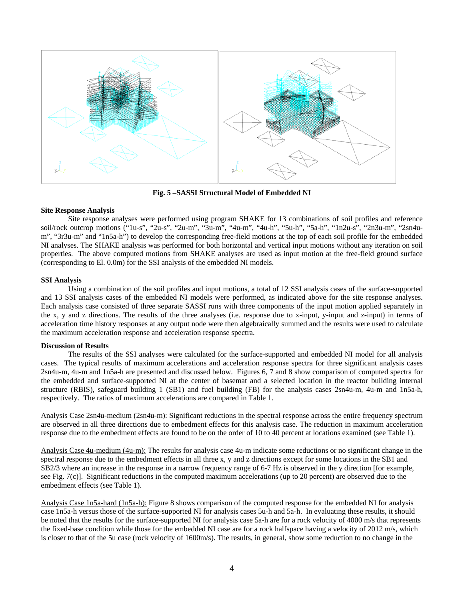

**Fig. 5 –SASSI Structural Model of Embedded NI** 

# **Site Response Analysis**

 Site response analyses were performed using program SHAKE for 13 combinations of soil profiles and reference soil/rock outcrop motions ("1u-s", "2u-s", "2u-m", "3u-m", "4u-m", "4u-h", "5u-h", "5a-h", "1n2u-s", "2n3u-m", "2sn4um", "3r3u-m" and "1n5a-h") to develop the corresponding free-field motions at the top of each soil profile for the embedded NI analyses. The SHAKE analysis was performed for both horizontal and vertical input motions without any iteration on soil properties. The above computed motions from SHAKE analyses are used as input motion at the free-field ground surface (corresponding to El. 0.0m) for the SSI analysis of the embedded NI models.

# **SSI Analysis**

Using a combination of the soil profiles and input motions, a total of 12 SSI analysis cases of the surface-supported and 13 SSI analysis cases of the embedded NI models were performed, as indicated above for the site response analyses. Each analysis case consisted of three separate SASSI runs with three components of the input motion applied separately in the x, y and z directions. The results of the three analyses (i.e. response due to x-input, y-input and z-input) in terms of acceleration time history responses at any output node were then algebraically summed and the results were used to calculate the maximum acceleration response and acceleration response spectra.

#### **Discussion of Results**

 The results of the SSI analyses were calculated for the surface-supported and embedded NI model for all analysis cases. The typical results of maximum accelerations and acceleration response spectra for three significant analysis cases 2sn4u-m, 4u-m and 1n5a-h are presented and discussed below. Figures 6, 7 and 8 show comparison of computed spectra for the embedded and surface-supported NI at the center of basemat and a selected location in the reactor building internal structure (RBIS), safeguard building 1 (SB1) and fuel building (FB) for the analysis cases 2sn4u-m, 4u-m and 1n5a-h, respectively. The ratios of maximum accelerations are compared in Table 1.

Analysis Case 2sn4u-medium (2sn4u-m): Significant reductions in the spectral response across the entire frequency spectrum are observed in all three directions due to embedment effects for this analysis case. The reduction in maximum acceleration response due to the embedment effects are found to be on the order of 10 to 40 percent at locations examined (see Table 1).

Analysis Case 4u-medium (4u-m): The results for analysis case 4u-m indicate some reductions or no significant change in the spectral response due to the embedment effects in all three x, y and z directions except for some locations in the SB1 and SB2/3 where an increase in the response in a narrow frequency range of 6-7 Hz is observed in the y direction [for example, see Fig. 7(c)]. Significant reductions in the computed maximum accelerations (up to 20 percent) are observed due to the embedment effects (see Table 1).

Analysis Case 1n5a-hard (1n5a-h): Figure 8 shows comparison of the computed response for the embedded NI for analysis case 1n5a-h versus those of the surface-supported NI for analysis cases 5u-h and 5a-h. In evaluating these results, it should be noted that the results for the surface-supported NI for analysis case 5a-h are for a rock velocity of 4000 m/s that represents the fixed-base condition while those for the embedded NI case are for a rock halfspace having a velocity of 2012 m/s, which is closer to that of the 5u case (rock velocity of 1600m/s). The results, in general, show some reduction to no change in the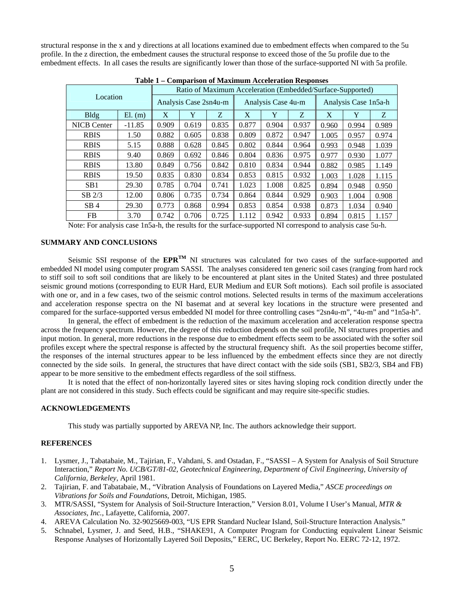structural response in the x and y directions at all locations examined due to embedment effects when compared to the 5u profile. In the z direction, the embedment causes the structural response to exceed those of the 5u profile due to the embedment effects. In all cases the results are significantly lower than those of the surface-supported NI with 5a profile.

| Location           |          | Ratio of Maximum Acceleration (Embedded/Surface-Supported) |       |       |                    |       |       |                      |       |       |
|--------------------|----------|------------------------------------------------------------|-------|-------|--------------------|-------|-------|----------------------|-------|-------|
|                    |          | Analysis Case 2sn4u-m                                      |       |       | Analysis Case 4u-m |       |       | Analysis Case 1n5a-h |       |       |
| <b>Bldg</b>        | El. (m)  | X                                                          | Y     | Z     | X                  | Y     | Z.    | X                    | Y     | Z     |
| <b>NICB</b> Center | $-11.85$ | 0.909                                                      | 0.619 | 0.835 | 0.877              | 0.904 | 0.937 | 0.960                | 0.994 | 0.989 |
| <b>RBIS</b>        | 1.50     | 0.882                                                      | 0.605 | 0.838 | 0.809              | 0.872 | 0.947 | 1.005                | 0.957 | 0.974 |
| <b>RBIS</b>        | 5.15     | 0.888                                                      | 0.628 | 0.845 | 0.802              | 0.844 | 0.964 | 0.993                | 0.948 | 1.039 |
| <b>RBIS</b>        | 9.40     | 0.869                                                      | 0.692 | 0.846 | 0.804              | 0.836 | 0.975 | 0.977                | 0.930 | 1.077 |
| <b>RBIS</b>        | 13.80    | 0.849                                                      | 0.756 | 0.842 | 0.810              | 0.834 | 0.944 | 0.882                | 0.985 | 1.149 |
| <b>RBIS</b>        | 19.50    | 0.835                                                      | 0.830 | 0.834 | 0.853              | 0.815 | 0.932 | 1.003                | 1.028 | 1.115 |
| SB <sub>1</sub>    | 29.30    | 0.785                                                      | 0.704 | 0.741 | 1.023              | 1.008 | 0.825 | 0.894                | 0.948 | 0.950 |
| $SB$ 2/3           | 12.00    | 0.806                                                      | 0.735 | 0.734 | 0.864              | 0.844 | 0.929 | 0.903                | 1.004 | 0.908 |
| SB <sub>4</sub>    | 29.30    | 0.773                                                      | 0.868 | 0.994 | 0.853              | 0.854 | 0.938 | 0.873                | 1.034 | 0.940 |
| FB                 | 3.70     | 0.742                                                      | 0.706 | 0.725 | 1.112              | 0.942 | 0.933 | 0.894                | 0.815 | 1.157 |

**Table 1 – Comparison of Maximum Acceleration Responses**

Note: For analysis case 1n5a-h, the results for the surface-supported NI correspond to analysis case 5u-h.

### **SUMMARY AND CONCLUSIONS**

Seismic SSI response of the **EPRTM** NI structures was calculated for two cases of the surface-supported and embedded NI model using computer program SASSI. The analyses considered ten generic soil cases (ranging from hard rock to stiff soil to soft soil conditions that are likely to be encountered at plant sites in the United States) and three postulated seismic ground motions (corresponding to EUR Hard, EUR Medium and EUR Soft motions). Each soil profile is associated with one or, and in a few cases, two of the seismic control motions. Selected results in terms of the maximum accelerations and acceleration response spectra on the NI basemat and at several key locations in the structure were presented and compared for the surface-supported versus embedded NI model for three controlling cases "2sn4u-m", "4u-m" and "1n5a-h".

In general, the effect of embedment is the reduction of the maximum acceleration and acceleration response spectra across the frequency spectrum. However, the degree of this reduction depends on the soil profile, NI structures properties and input motion. In general, more reductions in the response due to embedment effects seem to be associated with the softer soil profiles except where the spectral response is affected by the structural frequency shift. As the soil properties become stiffer, the responses of the internal structures appear to be less influenced by the embedment effects since they are not directly connected by the side soils. In general, the structures that have direct contact with the side soils (SB1, SB2/3, SB4 and FB) appear to be more sensitive to the embedment effects regardless of the soil stiffness.

It is noted that the effect of non-horizontally layered sites or sites having sloping rock condition directly under the plant are not considered in this study. Such effects could be significant and may require site-specific studies.

#### **ACKNOWLEDGEMENTS**

This study was partially supported by AREVA NP, Inc. The authors acknowledge their support.

# **REFERENCES**

- 1. Lysmer, J., Tabatabaie, M., Tajirian, F., Vahdani, S. and Ostadan, F., "SASSI A System for Analysis of Soil Structure Interaction," *Report No. UCB/GT/81-02, Geotechnical Engineering, Department of Civil Engineering, University of California, Berkeley*, April 1981.
- 2. Tajirian, F. and Tabatabaie, M., "Vibration Analysis of Foundations on Layered Media," *ASCE proceedings on Vibrations for Soils and Foundations*, Detroit, Michigan, 1985.
- 3. MTR/SASSI, "System for Analysis of Soil-Structure Interaction," Version 8.01, Volume I User's Manual, *MTR & Associates, Inc.,* Lafayette, California, 2007.
- 4. AREVA Calculation No. 32-9025669-003, "US EPR Standard Nuclear Island, Soil-Structure Interaction Analysis."
- 5. Schnabel, Lysmer, J. and Seed, H.B., "SHAKE91, A Computer Program for Conducting equivalent Linear Seismic Response Analyses of Horizontally Layered Soil Deposits," EERC, UC Berkeley, Report No. EERC 72-12, 1972.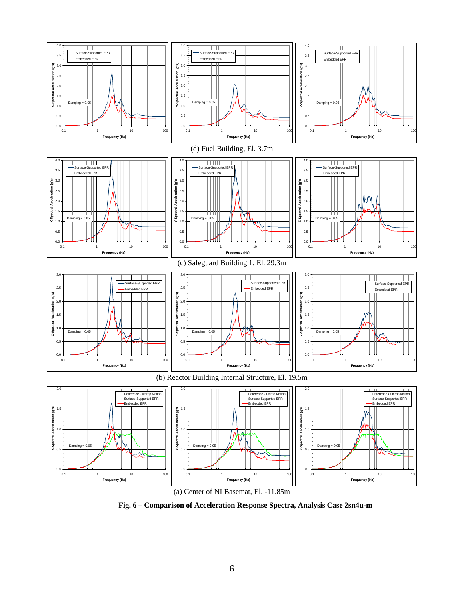

(a) Center of NI Basemat, El. -11.85m

**Fig. 6 – Comparison of Acceleration Response Spectra, Analysis Case 2sn4u-m**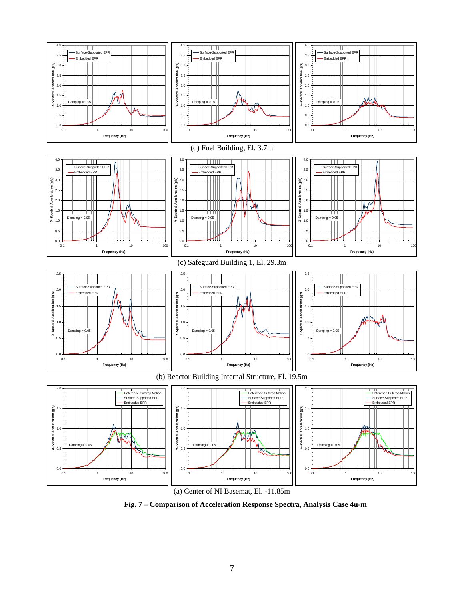

(a) Center of NI Basemat, El. -11.85m

**Fig. 7 – Comparison of Acceleration Response Spectra, Analysis Case 4u-m**